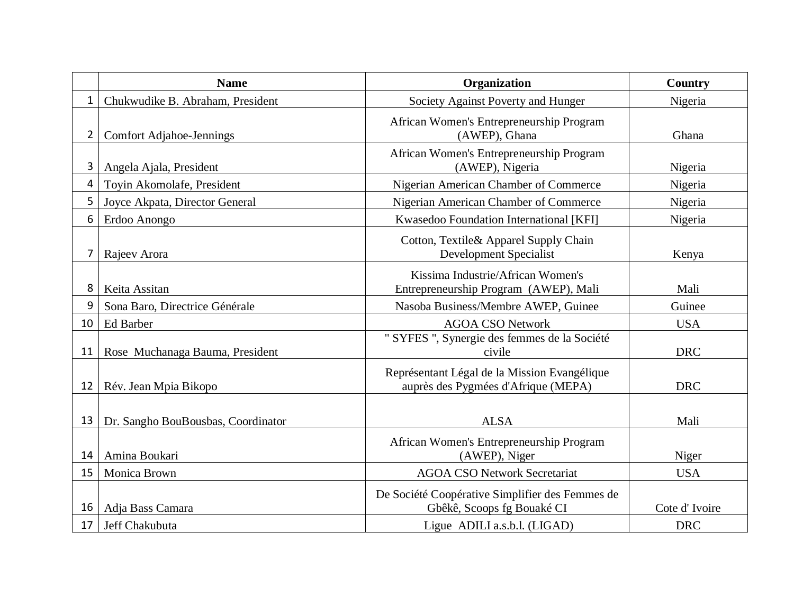|              | <b>Name</b>                        | Organization                                                                        | Country       |
|--------------|------------------------------------|-------------------------------------------------------------------------------------|---------------|
| $\mathbf{1}$ | Chukwudike B. Abraham, President   | Society Against Poverty and Hunger                                                  | Nigeria       |
| $2^{\circ}$  | <b>Comfort Adjahoe-Jennings</b>    | African Women's Entrepreneurship Program<br>(AWEP), Ghana                           | Ghana         |
| 3            | Angela Ajala, President            | African Women's Entrepreneurship Program<br>(AWEP), Nigeria                         | Nigeria       |
| 4            | Toyin Akomolafe, President         | Nigerian American Chamber of Commerce                                               | Nigeria       |
| 5            | Joyce Akpata, Director General     | Nigerian American Chamber of Commerce                                               | Nigeria       |
| 6            | Erdoo Anongo                       | Kwasedoo Foundation International [KFI]                                             | Nigeria       |
| 7            | Rajeev Arora                       | Cotton, Textile& Apparel Supply Chain<br><b>Development Specialist</b>              | Kenya         |
| 8            | Keita Assitan                      | Kissima Industrie/African Women's<br>Entrepreneurship Program (AWEP), Mali          | Mali          |
| 9            | Sona Baro, Directrice Générale     | Nasoba Business/Membre AWEP, Guinee                                                 | Guinee        |
| 10           | Ed Barber                          | <b>AGOA CSO Network</b>                                                             | <b>USA</b>    |
| 11           | Rose Muchanaga Bauma, President    | " SYFES ", Synergie des femmes de la Société<br>civile                              | <b>DRC</b>    |
| 12           | Rév. Jean Mpia Bikopo              | Représentant Légal de la Mission Evangélique<br>auprès des Pygmées d'Afrique (MEPA) | <b>DRC</b>    |
| 13           | Dr. Sangho BouBousbas, Coordinator | <b>ALSA</b>                                                                         | Mali          |
| 14           | Amina Boukari                      | African Women's Entrepreneurship Program<br>(AWEP), Niger                           | Niger         |
| 15           | Monica Brown                       | <b>AGOA CSO Network Secretariat</b>                                                 | <b>USA</b>    |
| 16           | Adja Bass Camara                   | De Société Coopérative Simplifier des Femmes de<br>Gbêkê, Scoops fg Bouaké CI       | Cote d'Ivoire |
| 17           | Jeff Chakubuta                     | Ligue ADILI a.s.b.l. (LIGAD)                                                        | <b>DRC</b>    |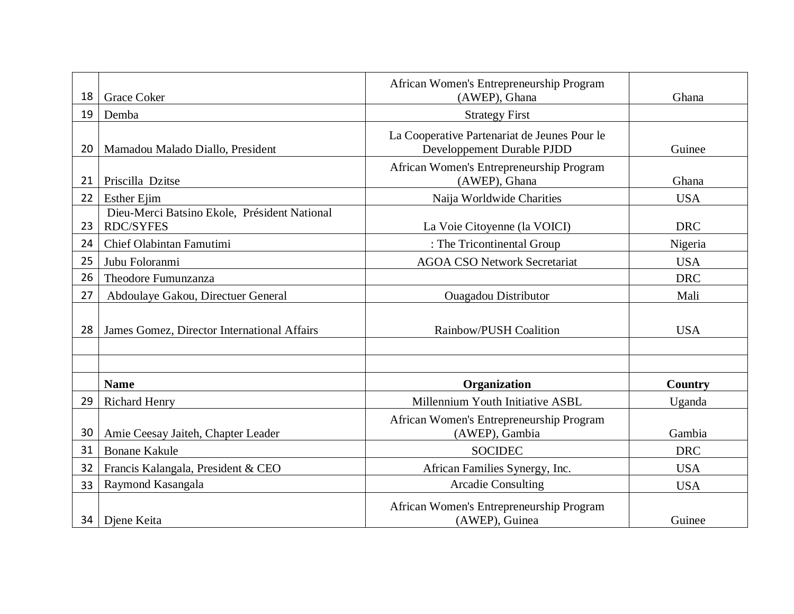| 18 | <b>Grace Coker</b>                                               | African Women's Entrepreneurship Program<br>(AWEP), Ghana                  | Ghana      |
|----|------------------------------------------------------------------|----------------------------------------------------------------------------|------------|
| 19 | Demba                                                            | <b>Strategy First</b>                                                      |            |
| 20 | Mamadou Malado Diallo, President                                 | La Cooperative Partenariat de Jeunes Pour le<br>Developpement Durable PJDD | Guinee     |
| 21 | Priscilla Dzitse                                                 | African Women's Entrepreneurship Program<br>(AWEP), Ghana                  | Ghana      |
| 22 | <b>Esther Ejim</b>                                               | Naija Worldwide Charities                                                  | <b>USA</b> |
| 23 | Dieu-Merci Batsino Ekole, Président National<br><b>RDC/SYFES</b> | La Voie Citoyenne (la VOICI)                                               | <b>DRC</b> |
| 24 | Chief Olabintan Famutimi                                         | : The Tricontinental Group                                                 | Nigeria    |
| 25 | Jubu Foloranmi                                                   | <b>AGOA CSO Network Secretariat</b>                                        | <b>USA</b> |
| 26 | Theodore Fumunzanza                                              |                                                                            | <b>DRC</b> |
| 27 | Abdoulaye Gakou, Directuer General                               | <b>Ouagadou Distributor</b>                                                | Mali       |
| 28 | James Gomez, Director International Affairs                      | Rainbow/PUSH Coalition                                                     | <b>USA</b> |
|    | <b>Name</b>                                                      | Organization                                                               | Country    |
| 29 | <b>Richard Henry</b>                                             | Millennium Youth Initiative ASBL                                           | Uganda     |
| 30 | Amie Ceesay Jaiteh, Chapter Leader                               | African Women's Entrepreneurship Program<br>(AWEP), Gambia                 | Gambia     |
| 31 | <b>Bonane Kakule</b>                                             | <b>SOCIDEC</b>                                                             | <b>DRC</b> |
| 32 | Francis Kalangala, President & CEO                               | African Families Synergy, Inc.                                             | <b>USA</b> |
| 33 | Raymond Kasangala                                                | <b>Arcadie Consulting</b>                                                  | <b>USA</b> |
| 34 | Diene Keita                                                      | African Women's Entrepreneurship Program<br>(AWEP), Guinea                 | Guinee     |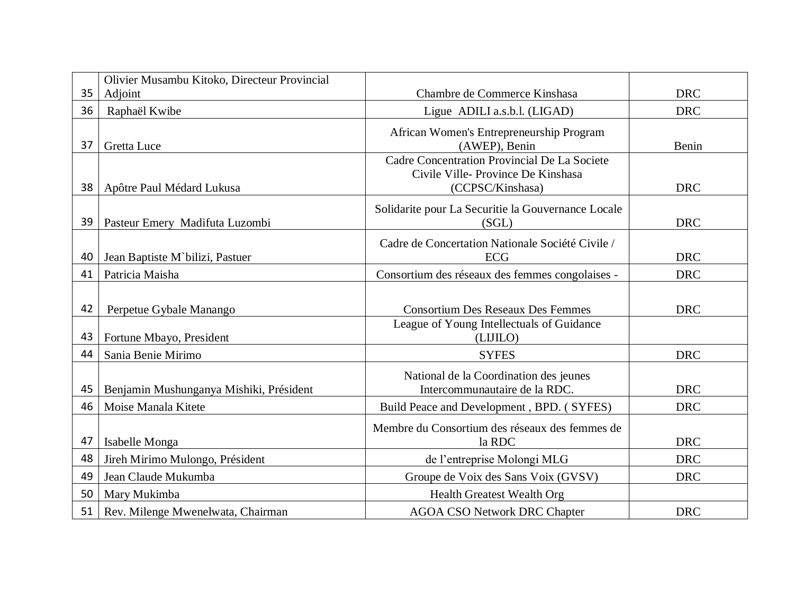|          | Olivier Musambu Kitoko, Directeur Provincial        |                                                                                                       |            |
|----------|-----------------------------------------------------|-------------------------------------------------------------------------------------------------------|------------|
| 35       | Adjoint                                             | Chambre de Commerce Kinshasa                                                                          | <b>DRC</b> |
| 36       | Raphaël Kwibe                                       | Ligue ADILI a.s.b.l. (LIGAD)                                                                          | <b>DRC</b> |
| 37       | <b>Gretta Luce</b>                                  | African Women's Entrepreneurship Program<br>(AWEP), Benin                                             | Benin      |
| 38       | Apôtre Paul Médard Lukusa                           | Cadre Concentration Provincial De La Societe<br>Civile Ville-Province De Kinshasa<br>(CCPSC/Kinshasa) | <b>DRC</b> |
| 39       | Pasteur Emery Madifuta Luzombi                      | Solidarite pour La Securitie la Gouvernance Locale<br>(SGL)                                           | <b>DRC</b> |
| 40       | Jean Baptiste M'bilizi, Pastuer                     | Cadre de Concertation Nationale Société Civile /<br><b>ECG</b>                                        | <b>DRC</b> |
| 41       | Patricia Maisha                                     | Consortium des réseaux des femmes congolaises -                                                       | <b>DRC</b> |
| 42<br>43 | Perpetue Gybale Manango<br>Fortune Mbayo, President | <b>Consortium Des Reseaux Des Femmes</b><br>League of Young Intellectuals of Guidance<br>(LIJILO)     | <b>DRC</b> |
| 44       | Sania Benie Mirimo                                  | <b>SYFES</b>                                                                                          | <b>DRC</b> |
| 45       | Benjamin Mushunganya Mishiki, Président             | National de la Coordination des jeunes<br>Intercommunautaire de la RDC.                               | <b>DRC</b> |
| 46       | Moise Manala Kitete                                 | Build Peace and Development, BPD. (SYFES)                                                             | <b>DRC</b> |
| 47       | Isabelle Monga                                      | Membre du Consortium des réseaux des femmes de<br>la RDC                                              | <b>DRC</b> |
| 48       | Jireh Mirimo Mulongo, Président                     | de l'entreprise Molongi MLG                                                                           | <b>DRC</b> |
| 49       | Jean Claude Mukumba                                 | Groupe de Voix des Sans Voix (GVSV)                                                                   | <b>DRC</b> |
| 50       | Mary Mukimba                                        | <b>Health Greatest Wealth Org</b>                                                                     |            |
| 51       | Rev. Milenge Mwenelwata, Chairman                   | <b>AGOA CSO Network DRC Chapter</b>                                                                   | <b>DRC</b> |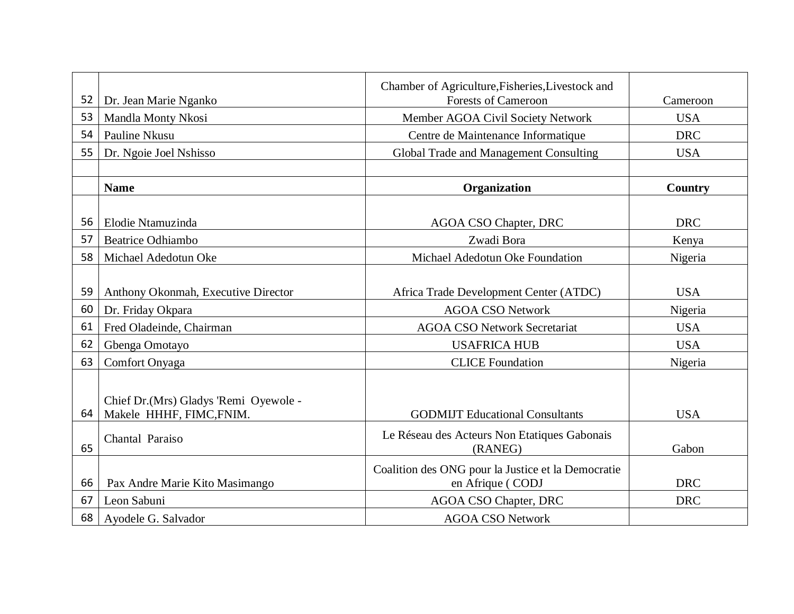|    |                                       | Chamber of Agriculture, Fisheries, Livestock and   |            |
|----|---------------------------------------|----------------------------------------------------|------------|
| 52 | Dr. Jean Marie Nganko                 | <b>Forests of Cameroon</b>                         | Cameroon   |
| 53 | Mandla Monty Nkosi                    | Member AGOA Civil Society Network                  | <b>USA</b> |
| 54 | Pauline Nkusu                         | Centre de Maintenance Informatique                 | <b>DRC</b> |
| 55 | Dr. Ngoie Joel Nshisso                | Global Trade and Management Consulting             | <b>USA</b> |
|    |                                       |                                                    |            |
|    | <b>Name</b>                           | <b>Organization</b>                                | Country    |
|    |                                       |                                                    |            |
| 56 | Elodie Ntamuzinda                     | <b>AGOA CSO Chapter, DRC</b>                       | <b>DRC</b> |
| 57 | <b>Beatrice Odhiambo</b>              | Zwadi Bora                                         | Kenya      |
| 58 | Michael Adedotun Oke                  | Michael Adedotun Oke Foundation                    | Nigeria    |
|    |                                       |                                                    |            |
| 59 | Anthony Okonmah, Executive Director   | Africa Trade Development Center (ATDC)             | <b>USA</b> |
| 60 | Dr. Friday Okpara                     | <b>AGOA CSO Network</b>                            | Nigeria    |
| 61 | Fred Oladeinde, Chairman              | <b>AGOA CSO Network Secretariat</b>                | <b>USA</b> |
| 62 | Gbenga Omotayo                        | <b>USAFRICA HUB</b>                                | <b>USA</b> |
| 63 | Comfort Onyaga                        | <b>CLICE</b> Foundation                            | Nigeria    |
|    |                                       |                                                    |            |
|    | Chief Dr.(Mrs) Gladys 'Remi Oyewole - |                                                    |            |
| 64 | Makele HHHF, FIMC, FNIM.              | <b>GODMIJT</b> Educational Consultants             | <b>USA</b> |
|    |                                       | Le Réseau des Acteurs Non Etatiques Gabonais       |            |
| 65 | Chantal Paraiso                       | (RANEG)                                            | Gabon      |
|    |                                       | Coalition des ONG pour la Justice et la Democratie |            |
| 66 | Pax Andre Marie Kito Masimango        | en Afrique (CODJ                                   | <b>DRC</b> |
| 67 | Leon Sabuni                           | <b>AGOA CSO Chapter, DRC</b>                       | <b>DRC</b> |
| 68 | Ayodele G. Salvador                   | <b>AGOA CSO Network</b>                            |            |